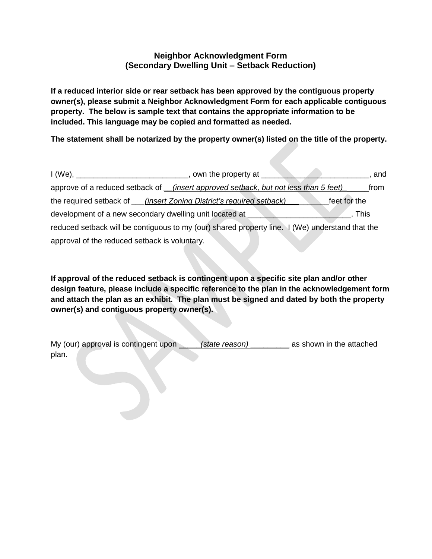## **Neighbor Acknowledgment Form (Secondary Dwelling Unit – Setback Reduction)**

**If a reduced interior side or rear setback has been approved by the contiguous property owner(s), please submit a Neighbor Acknowledgment Form for each applicable contiguous property. The below is sample text that contains the appropriate information to be included. This language may be copied and formatted as needed.** 

**The statement shall be notarized by the property owner(s) listed on the title of the property.** 

|                                                         | , own the property at $\qquad \qquad$                                                           | and          |
|---------------------------------------------------------|-------------------------------------------------------------------------------------------------|--------------|
|                                                         | approve of a reduced setback of <i>___(insert approved setback, but not less than 5 feet)</i>   | from         |
|                                                         | the required setback of <i>____(insert Zoning District's required setback)</i>                  | feet for the |
| development of a new secondary dwelling unit located at |                                                                                                 | This         |
|                                                         | reduced setback will be contiguous to my (our) shared property line. I (We) understand that the |              |
| approval of the reduced setback is voluntary.           |                                                                                                 |              |

**If approval of the reduced setback is contingent upon a specific site plan and/or other design feature, please include a specific reference to the plan in the acknowledgement form and attach the plan as an exhibit. The plan must be signed and dated by both the property owner(s) and contiguous property owner(s).**

My (our) approval is contingent upon *\_\_\_\_\_\_ (state reason)* \_\_\_\_\_\_\_\_\_ as shown in the attached plan.